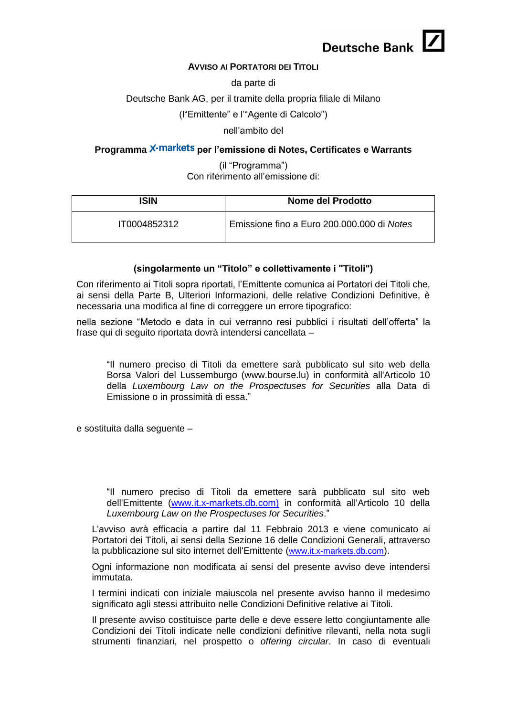

#### **AVVISO AI PORTATORI DEI TITOLI**

da parte di

#### Deutsche Bank AG, per il tramite della propria filiale di Milano

(l"Emittente" e l'"Agente di Calcolo")

nell'ambito del

## Programma X-markets per l'emissione di Notes, Certificates e Warrants

(il "Programma") Con riferimento all'emissione di:

| ISIN         | Nome del Prodotto                          |
|--------------|--------------------------------------------|
| IT0004852312 | Emissione fino a Euro 200.000.000 di Notes |

#### **(singolarmente un "Titolo" e collettivamente i "Titoli")**

Con riferimento ai Titoli sopra riportati, l'Emittente comunica ai Portatori dei Titoli che, ai sensi della Parte B, Ulteriori Informazioni, delle relative Condizioni Definitive, è necessaria una modifica al fine di correggere un errore tipografico:

nella sezione "Metodo e data in cui verranno resi pubblici i risultati dell'offerta" la frase qui di seguito riportata dovrà intendersi cancellata –

"Il numero preciso di Titoli da emettere sarà pubblicato sul sito web della Borsa Valori del Lussemburgo [\(www.bourse.lu\)](http://www.bourse.lu)/) in conformità all'Articolo 10 della *Luxembourg Law on the Prospectuses for Securities* alla Data di Emissione o in prossimità di essa."

e sostituita dalla seguente –

"Il numero preciso di Titoli da emettere sarà pubblicato sul sito web dell'Emittente [\(www.it.x-markets.db.com\)](http://www.it.x-markets.db.com)/) in conformità all'Articolo 10 della *Luxembourg Law on the Prospectuses for Securities*."

L'avviso avrà efficacia a partire dal 11 Febbraio 2013 e viene comunicato ai Portatori dei Titoli, ai sensi della Sezione 16 delle Condizioni Generali, attraverso la pubblicazione sul sito internet dell'Emittente ([www.it.x-markets.db.com](http://www.it.x-markets.db.com/)).

Ogni informazione non modificata ai sensi del presente avviso deve intendersi immutata.

I termini indicati con iniziale maiuscola nel presente avviso hanno il medesimo significato agli stessi attribuito nelle Condizioni Definitive relative ai Titoli.

Il presente avviso costituisce parte delle e deve essere letto congiuntamente alle Condizioni dei Titoli indicate nelle condizioni definitive rilevanti, nella nota sugli strumenti finanziari, nel prospetto o *offering circular*. In caso di eventuali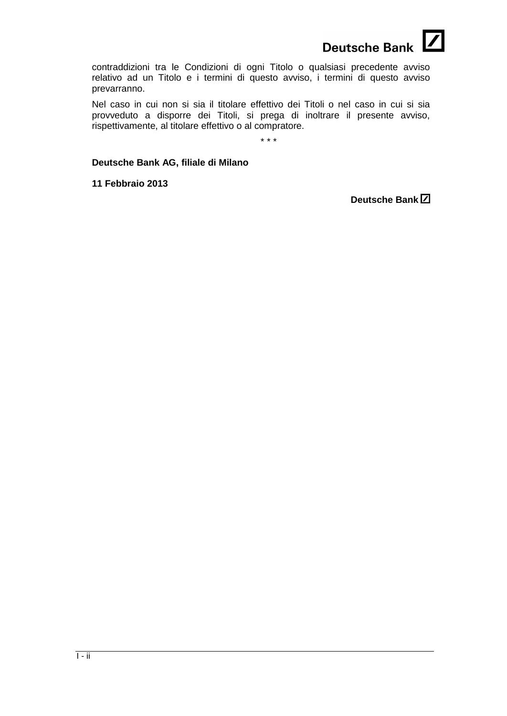

contraddizioni tra le Condizioni di ogni Titolo o qualsiasi precedente avviso relativo ad un Titolo e i termini di questo avviso, i termini di questo avviso prevarranno.

Nel caso in cui non si sia il titolare effettivo dei Titoli o nel caso in cui si sia provveduto a disporre dei Titoli, si prega di inoltrare il presente avviso, rispettivamente, al titolare effettivo o al compratore.

\* \* \*

## **Deutsche Bank AG, filiale di Milano**

**11 Febbraio 2013**

**Deutsche Bank**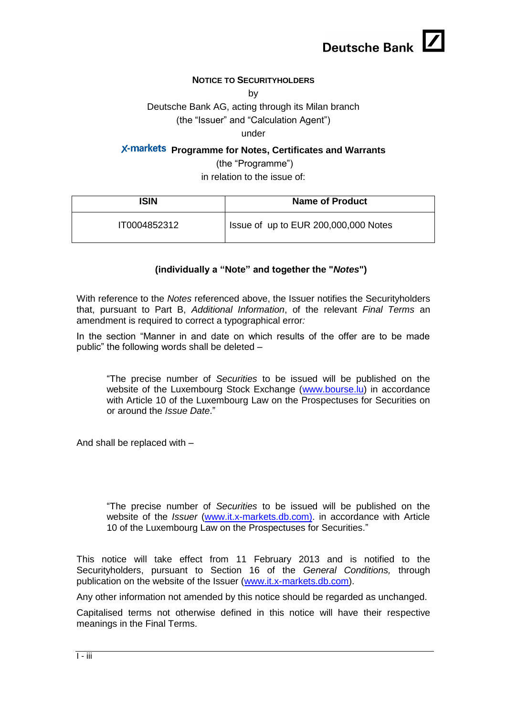

## **NOTICE TO SECURITYHOLDERS**

by

Deutsche Bank AG, acting through its Milan branch

(the "Issuer" and "Calculation Agent")

under

# **X-markets Programme for Notes, Certificates and Warrants**

(the "Programme") in relation to the issue of:

| ISIN         | <b>Name of Product</b>               |
|--------------|--------------------------------------|
| IT0004852312 | Issue of up to EUR 200,000,000 Notes |

## **(individually a "Note" and together the "***Notes***")**

With reference to the *Notes* referenced above, the Issuer notifies the Securityholders that, pursuant to Part B, *Additional Information*, of the relevant *Final Terms* an amendment is required to correct a typographical error*:*

In the section "Manner in and date on which results of the offer are to be made public" the following words shall be deleted –

"The precise number of *Securities* to be issued will be published on the website of the Luxembourg Stock Exchange [\(www.bourse.lu\)](http://www.bourse.lu/) in accordance with Article 10 of the Luxembourg Law on the Prospectuses for Securities on or around the *Issue Date*."

And shall be replaced with –

"The precise number of *Securities* to be issued will be published on the website of the *Issuer* [\(www.it.x-markets.db.com\).](http://www.it.x-markets.db.com)/) in accordance with Article 10 of the Luxembourg Law on the Prospectuses for Securities."

This notice will take effect from 11 February 2013 and is notified to the Securityholders, pursuant to Section 16 of the *General Conditions,* through publication on the website of the Issuer [\(www.it.x-markets.db.com\)](http://www.it.x-markets.db.com/).

Any other information not amended by this notice should be regarded as unchanged.

Capitalised terms not otherwise defined in this notice will have their respective meanings in the Final Terms.